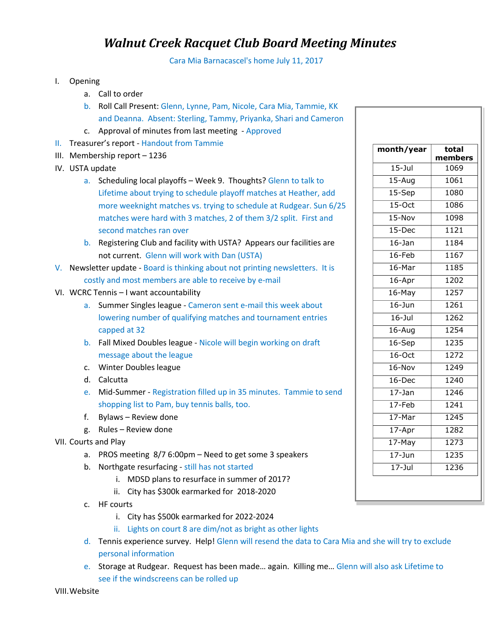## *Walnut Creek Racquet Club Board Meeting Minutes*

Cara Mia Barnacascel's home July 11, 2017

- I. Opening
	- a. Call to order
	- b. Roll Call Present: Glenn, Lynne, Pam, Nicole, Cara Mia, Tammie, KK and Deanna. Absent: Sterling, Tammy, Priyanka, Shari and Cameron
	- c. Approval of minutes from last meeting Approved
- II. Treasurer's report Handout from Tammie
- III. Membership report 1236
- IV. USTA update
	- a. Scheduling local playoffs Week 9. Thoughts? Glenn to talk to Lifetime about trying to schedule playoff matches at Heather, add more weeknight matches vs. trying to schedule at Rudgear. Sun 6/25 matches were hard with 3 matches, 2 of them 3/2 split. First and second matches ran over
	- b. Registering Club and facility with USTA? Appears our facilities are not current. Glenn will work with Dan (USTA)
- V. Newsletter update Board is thinking about not printing newsletters. It is costly and most members are able to receive by e-mail
- VI. WCRC Tennis I want accountability
	- a. Summer Singles league Cameron sent e-mail this week about lowering number of qualifying matches and tournament entries capped at 32
	- b. Fall Mixed Doubles league Nicole will begin working on draft message about the league
	- c. Winter Doubles league
	- d. Calcutta
	- e. Mid-Summer Registration filled up in 35 minutes. Tammie to send shopping list to Pam, buy tennis balls, too.
	- f. Bylaws Review done
	- g. Rules Review done
- VII. Courts and Play
	- a. PROS meeting 8/7 6:00pm Need to get some 3 speakers
	- b. Northgate resurfacing still has not started
		- i. MDSD plans to resurface in summer of 2017?
		- ii. City has \$300k earmarked for 2018-2020
	- c. HF courts
		- i. City has \$500k earmarked for 2022-2024
		- ii. Lights on court 8 are dim/not as bright as other lights
	- d. Tennis experience survey. Help! Glenn will resend the data to Cara Mia and she will try to exclude personal information
	- e. Storage at Rudgear. Request has been made… again. Killing me… Glenn will also ask Lifetime to see if the windscreens can be rolled up

VIII.Website

| month/year            | total<br>members |
|-----------------------|------------------|
| $15 -$ Jul            | 1069             |
| $15 - Aug$            | 1061             |
| 15-Sep                | 1080             |
| $15$ -Oct             | 1086             |
| 15-Nov                | 1098             |
| 15-Dec                | 1121             |
| $16 - Jan$            | 1184             |
| $16$ -Feb             | 1167             |
| $16$ -Mar             | 1185             |
| 16-Apr                | 1202             |
| 16-May                | 1257             |
| $16 - Jun$            | 1261             |
| $16 -$ Jul            | 1262             |
| $16 - Aug$            | 1254             |
| 16-Sep                | 1235             |
| $16-Oct$              | 1272             |
| $16 - Nov$            | $\frac{1}{1249}$ |
| 16-Dec                | 1240             |
| $17 - Jan$            | 1246             |
| $17$ -Feb             | 1241             |
| 17-Mar                | 1245             |
| 17-Apr                | 1282             |
| $17 - \overline{May}$ | 1273             |
| $17 - Jun$            | 1235             |
| $17 -$ Jul            | 1236             |